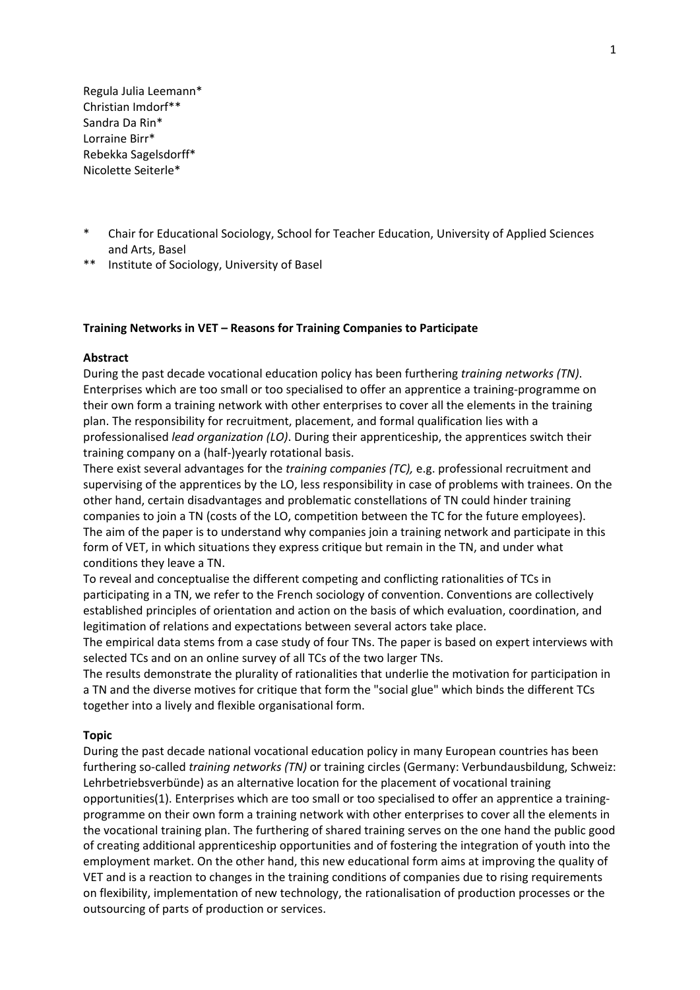Regula Julia Leemann\* Christian Imdorf\*\* Sandra Da Rin\* Lorraine Birr\* Rebekka Sagelsdorff\* Nicolette Seiterle\*

- \* Chair for Educational Sociology, School for Teacher Education, University of Applied Sciences and Arts, Basel
- \*\* Institute of Sociology, University of Basel

# **Training Networks in VET – Reasons for Training Companies to Participate**

#### **Abstract**

During the past decade vocational education policy has been furthering *training networks (TN)*. Enterprises which are too small or too specialised to offer an apprentice a training‐programme on their own form a training network with other enterprises to cover all the elements in the training plan. The responsibility for recruitment, placement, and formal qualification lies with a professionalised *lead organization (LO)*. During their apprenticeship, the apprentices switch their training company on a (half‐)yearly rotational basis.

There exist several advantages for the *training companies (TC),* e.g. professional recruitment and supervising of the apprentices by the LO, less responsibility in case of problems with trainees. On the other hand, certain disadvantages and problematic constellations of TN could hinder training companies to join a TN (costs of the LO, competition between the TC for the future employees). The aim of the paper is to understand why companies join a training network and participate in this form of VET, in which situations they express critique but remain in the TN, and under what conditions they leave a TN.

To reveal and conceptualise the different competing and conflicting rationalities of TCs in participating in a TN, we refer to the French sociology of convention. Conventions are collectively established principles of orientation and action on the basis of which evaluation, coordination, and legitimation of relations and expectations between several actors take place.

The empirical data stems from a case study of four TNs. The paper is based on expert interviews with selected TCs and on an online survey of all TCs of the two larger TNs.

The results demonstrate the plurality of rationalities that underlie the motivation for participation in a TN and the diverse motives for critique that form the "social glue" which binds the different TCs together into a lively and flexible organisational form.

#### **Topic**

During the past decade national vocational education policy in many European countries has been furthering so‐called *training networks (TN)* or training circles (Germany: Verbundausbildung, Schweiz: Lehrbetriebsverbünde) as an alternative location for the placement of vocational training opportunities(1). Enterprises which are too small or too specialised to offer an apprentice a training‐ programme on their own form a training network with other enterprises to cover all the elements in the vocational training plan. The furthering of shared training serves on the one hand the public good of creating additional apprenticeship opportunities and of fostering the integration of youth into the employment market. On the other hand, this new educational form aims at improving the quality of VET and is a reaction to changes in the training conditions of companies due to rising requirements on flexibility, implementation of new technology, the rationalisation of production processes or the outsourcing of parts of production or services.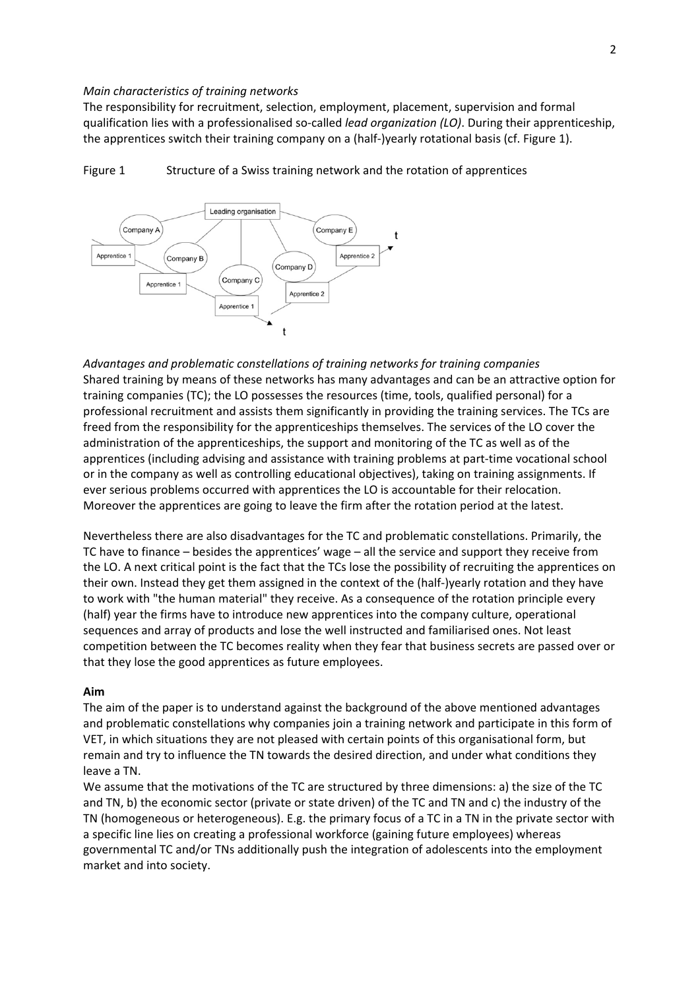#### *Main characteristics of training networks*

The responsibility for recruitment, selection, employment, placement, supervision and formal qualification lies with a professionalised so‐called *lead organization (LO)*. During their apprenticeship, the apprentices switch their training company on a (half-)yearly rotational basis (cf. Figure 1).



Figure 1 Structure of a Swiss training network and the rotation of apprentices

*Advantages and problematic constellations of training networks for training companies* Shared training by means of these networks has many advantages and can be an attractive option for training companies (TC); the LO possesses the resources (time, tools, qualified personal) for a professional recruitment and assists them significantly in providing the training services. The TCs are freed from the responsibility for the apprenticeships themselves. The services of the LO cover the administration of the apprenticeships, the support and monitoring of the TC as well as of the apprentices (including advising and assistance with training problems at part‐time vocational school or in the company as well as controlling educational objectives), taking on training assignments. If ever serious problems occurred with apprentices the LO is accountable for their relocation. Moreover the apprentices are going to leave the firm after the rotation period at the latest.

Nevertheless there are also disadvantages for the TC and problematic constellations. Primarily, the TC have to finance – besides the apprentices' wage – all the service and support they receive from the LO. A next critical point is the fact that the TCs lose the possibility of recruiting the apprentices on their own. Instead they get them assigned in the context of the (half‐)yearly rotation and they have to work with "the human material" they receive. As a consequence of the rotation principle every (half) year the firms have to introduce new apprentices into the company culture, operational sequences and array of products and lose the well instructed and familiarised ones. Not least competition between the TC becomes reality when they fear that business secrets are passed over or that they lose the good apprentices as future employees.

### **Aim**

The aim of the paper is to understand against the background of the above mentioned advantages and problematic constellations why companies join a training network and participate in this form of VET, in which situations they are not pleased with certain points of this organisational form, but remain and try to influence the TN towards the desired direction, and under what conditions they leave a TN.

We assume that the motivations of the TC are structured by three dimensions: a) the size of the TC and TN, b) the economic sector (private or state driven) of the TC and TN and c) the industry of the TN (homogeneous or heterogeneous). E.g. the primary focus of a TC in a TN in the private sector with a specific line lies on creating a professional workforce (gaining future employees) whereas governmental TC and/or TNs additionally push the integration of adolescents into the employment market and into society.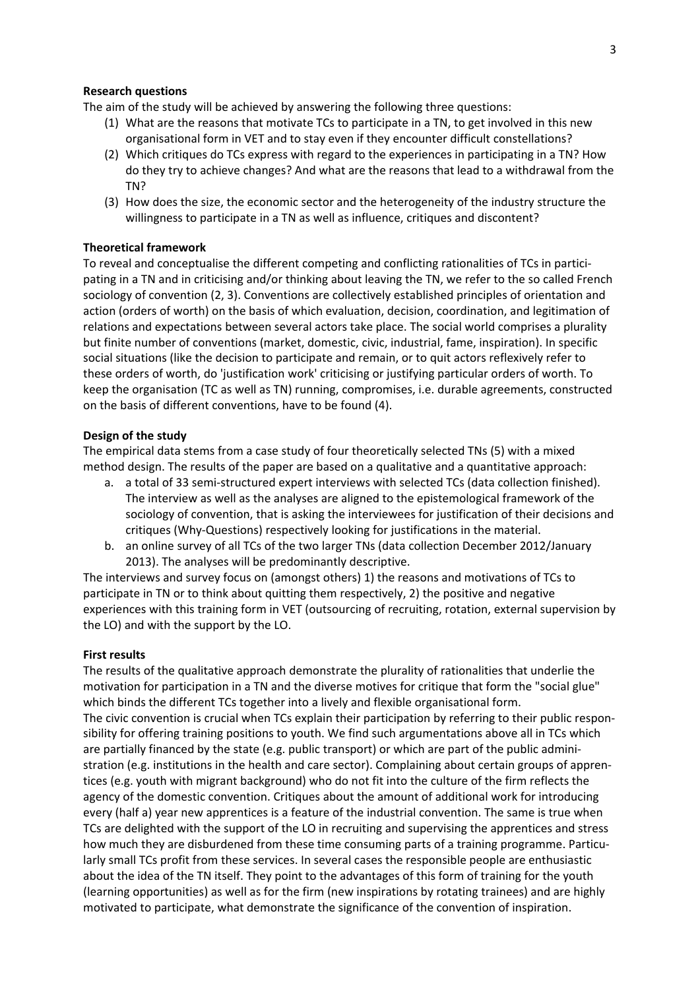### **Research questions**

The aim of the study will be achieved by answering the following three questions:

- (1) What are the reasons that motivate TCs to participate in a TN, to get involved in this new organisational form in VET and to stay even if they encounter difficult constellations?
- (2) Which critiques do TCs express with regard to the experiences in participating in a TN? How do they try to achieve changes? And what are the reasons that lead to a withdrawal from the TN?
- (3) How does the size, the economic sector and the heterogeneity of the industry structure the willingness to participate in a TN as well as influence, critiques and discontent?

## **Theoretical framework**

To reveal and conceptualise the different competing and conflicting rationalities of TCs in participating in a TN and in criticising and/or thinking about leaving the TN, we refer to the so called French sociology of convention (2, 3). Conventions are collectively established principles of orientation and action (orders of worth) on the basis of which evaluation, decision, coordination, and legitimation of relations and expectations between several actors take place. The social world comprises a plurality but finite number of conventions (market, domestic, civic, industrial, fame, inspiration). In specific social situations (like the decision to participate and remain, or to quit actors reflexively refer to these orders of worth, do 'justification work' criticising or justifying particular orders of worth. To keep the organisation (TC as well as TN) running, compromises, i.e. durable agreements, constructed on the basis of different conventions, have to be found (4).

#### **Design of the study**

The empirical data stems from a case study of four theoretically selected TNs (5) with a mixed method design. The results of the paper are based on a qualitative and a quantitative approach:

- a. a total of 33 semi‐structured expert interviews with selected TCs (data collection finished). The interview as well as the analyses are aligned to the epistemological framework of the sociology of convention, that is asking the interviewees for justification of their decisions and critiques (Why‐Questions) respectively looking for justifications in the material.
- b. an online survey of all TCs of the two larger TNs (data collection December 2012/January 2013). The analyses will be predominantly descriptive.

The interviews and survey focus on (amongst others) 1) the reasons and motivations of TCs to participate in TN or to think about quitting them respectively, 2) the positive and negative experiences with this training form in VET (outsourcing of recruiting, rotation, external supervision by the LO) and with the support by the LO.

#### **First results**

The results of the qualitative approach demonstrate the plurality of rationalities that underlie the motivation for participation in a TN and the diverse motives for critique that form the "social glue" which binds the different TCs together into a lively and flexible organisational form. The civic convention is crucial when TCs explain their participation by referring to their public responsibility for offering training positions to youth. We find such argumentations above all in TCs which are partially financed by the state (e.g. public transport) or which are part of the public administration (e.g. institutions in the health and care sector). Complaining about certain groups of appren‐ tices (e.g. youth with migrant background) who do not fit into the culture of the firm reflects the agency of the domestic convention. Critiques about the amount of additional work for introducing every (half a) year new apprentices is a feature of the industrial convention. The same is true when TCs are delighted with the support of the LO in recruiting and supervising the apprentices and stress how much they are disburdened from these time consuming parts of a training programme. Particularly small TCs profit from these services. In several cases the responsible people are enthusiastic about the idea of the TN itself. They point to the advantages of this form of training for the youth (learning opportunities) as well as for the firm (new inspirations by rotating trainees) and are highly motivated to participate, what demonstrate the significance of the convention of inspiration.